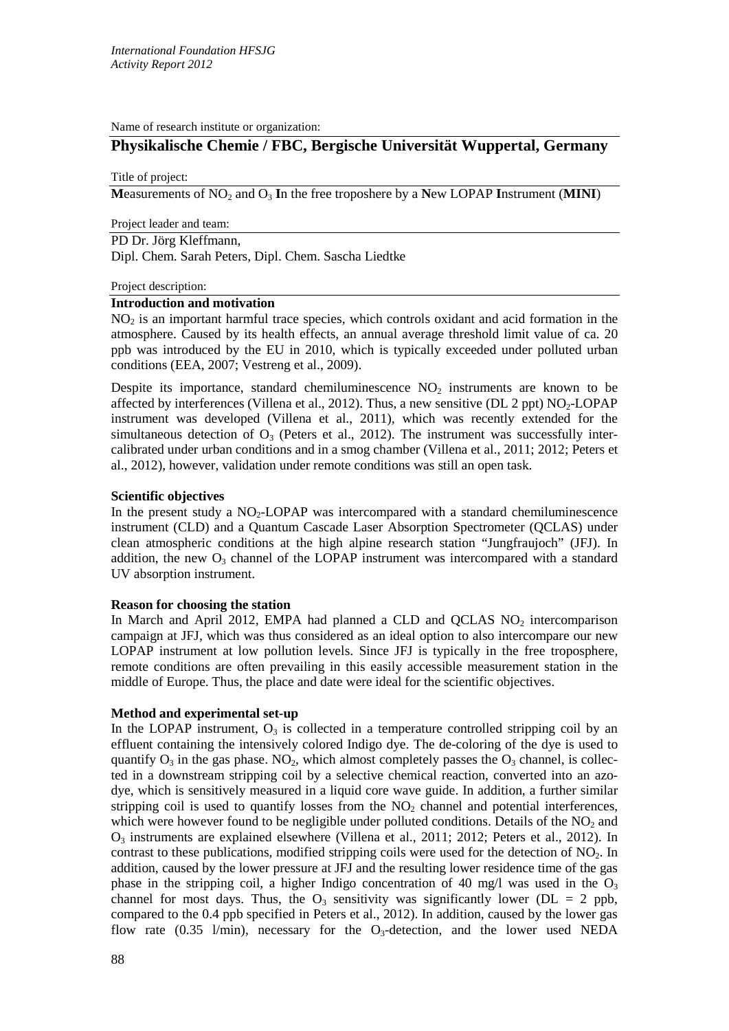Name of research institute or organization:

# **Physikalische Chemie / FBC, Bergische Universität Wuppertal, Germany**

Title of project:

**M**easurements of NO2 and O3 **I**n the free troposhere by a **N**ew LOPAP **I**nstrument (**MINI**)

Project leader and team:

PD Dr. Jörg Kleffmann,

Dipl. Chem. Sarah Peters, Dipl. Chem. Sascha Liedtke

#### Project description:

## **Introduction and motivation**

 $NO<sub>2</sub>$  is an important harmful trace species, which controls oxidant and acid formation in the atmosphere. Caused by its health effects, an annual average threshold limit value of ca. 20 ppb was introduced by the EU in 2010, which is typically exceeded under polluted urban conditions (EEA, 2007; Vestreng et al., 2009).

Despite its importance, standard chemiluminescence NO<sub>2</sub> instruments are known to be affected by interferences (Villena et al., 2012). Thus, a new sensitive (DL 2 ppt)  $NO<sub>2</sub>-LOPAP$ instrument was developed (Villena et al., 2011), which was recently extended for the simultaneous detection of  $O_3$  (Peters et al., 2012). The instrument was successfully intercalibrated under urban conditions and in a smog chamber (Villena et al., 2011; 2012; Peters et al., 2012), however, validation under remote conditions was still an open task.

## **Scientific objectives**

In the present study a  $NO<sub>2</sub>-LOPAP$  was intercompared with a standard chemiluminescence instrument (CLD) and a Quantum Cascade Laser Absorption Spectrometer (QCLAS) under clean atmospheric conditions at the high alpine research station "Jungfraujoch" (JFJ). In addition, the new  $O_3$  channel of the LOPAP instrument was intercompared with a standard UV absorption instrument.

## **Reason for choosing the station**

In March and April 2012, EMPA had planned a CLD and QCLAS  $NO<sub>2</sub>$  intercomparison campaign at JFJ, which was thus considered as an ideal option to also intercompare our new LOPAP instrument at low pollution levels. Since JFJ is typically in the free troposphere, remote conditions are often prevailing in this easily accessible measurement station in the middle of Europe. Thus, the place and date were ideal for the scientific objectives.

## **Method and experimental set-up**

In the LOPAP instrument,  $O_3$  is collected in a temperature controlled stripping coil by an effluent containing the intensively colored Indigo dye. The de-coloring of the dye is used to quantify  $O_3$  in the gas phase. NO<sub>2</sub>, which almost completely passes the  $O_3$  channel, is collected in a downstream stripping coil by a selective chemical reaction, converted into an azodye, which is sensitively measured in a liquid core wave guide. In addition, a further similar stripping coil is used to quantify losses from the  $NO<sub>2</sub>$  channel and potential interferences, which were however found to be negligible under polluted conditions. Details of the  $NO<sub>2</sub>$  and O3 instruments are explained elsewhere (Villena et al., 2011; 2012; Peters et al., 2012). In contrast to these publications, modified stripping coils were used for the detection of NO2. In addition, caused by the lower pressure at JFJ and the resulting lower residence time of the gas phase in the stripping coil, a higher Indigo concentration of 40 mg/l was used in the  $O_3$ channel for most days. Thus, the  $O_3$  sensitivity was significantly lower (DL = 2 ppb, compared to the 0.4 ppb specified in Peters et al., 2012). In addition, caused by the lower gas flow rate  $(0.35 \text{ l/min})$ , necessary for the O<sub>3</sub>-detection, and the lower used NEDA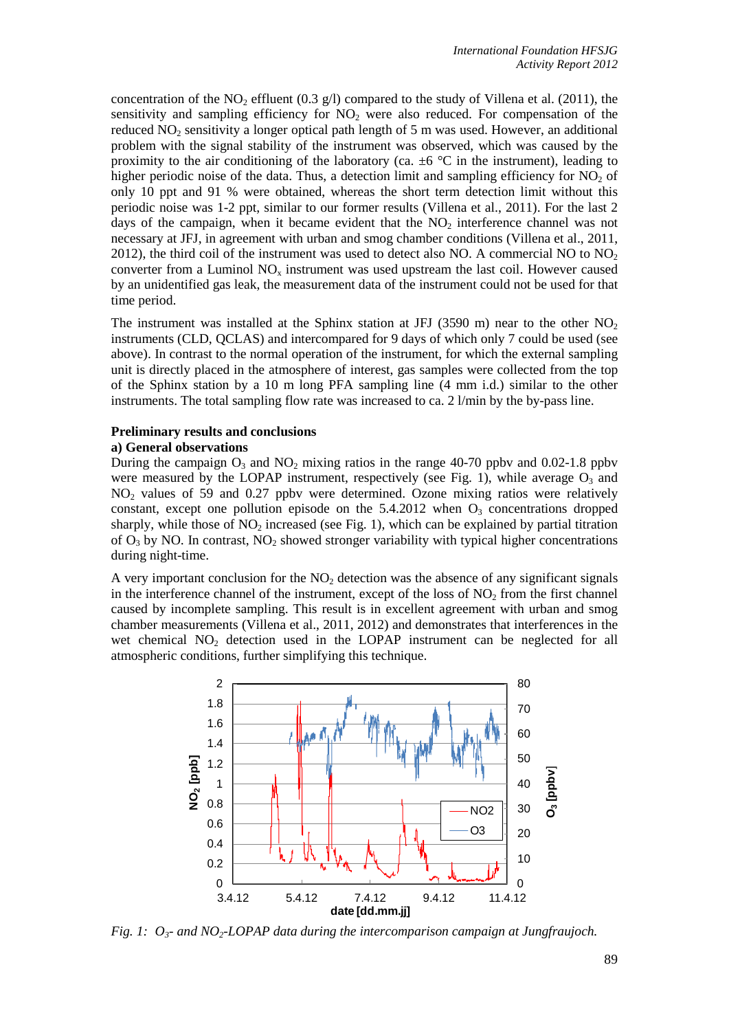concentration of the  $NO<sub>2</sub>$  effluent (0.3 g/l) compared to the study of Villena et al. (2011), the sensitivity and sampling efficiency for  $NO<sub>2</sub>$  were also reduced. For compensation of the reduced  $NO<sub>2</sub>$  sensitivity a longer optical path length of 5 m was used. However, an additional problem with the signal stability of the instrument was observed, which was caused by the proximity to the air conditioning of the laboratory (ca.  $\pm 6$  °C in the instrument), leading to higher periodic noise of the data. Thus, a detection limit and sampling efficiency for  $NO<sub>2</sub>$  of only 10 ppt and 91 % were obtained, whereas the short term detection limit without this periodic noise was 1-2 ppt, similar to our former results (Villena et al., 2011). For the last 2 days of the campaign, when it became evident that the  $NO<sub>2</sub>$  interference channel was not necessary at JFJ, in agreement with urban and smog chamber conditions (Villena et al., 2011, 2012), the third coil of the instrument was used to detect also NO. A commercial NO to  $NO<sub>2</sub>$ converter from a Luminol  $NO<sub>x</sub>$  instrument was used upstream the last coil. However caused by an unidentified gas leak, the measurement data of the instrument could not be used for that time period.

The instrument was installed at the Sphinx station at JFJ (3590 m) near to the other  $NO<sub>2</sub>$ instruments (CLD, QCLAS) and intercompared for 9 days of which only 7 could be used (see above). In contrast to the normal operation of the instrument, for which the external sampling unit is directly placed in the atmosphere of interest, gas samples were collected from the top of the Sphinx station by a 10 m long PFA sampling line (4 mm i.d.) similar to the other instruments. The total sampling flow rate was increased to ca. 2 l/min by the by-pass line.

# **Preliminary results and conclusions**

## **a) General observations**

During the campaign  $O_3$  and  $NO_2$  mixing ratios in the range 40-70 ppbv and 0.02-1.8 ppbv were measured by the LOPAP instrument, respectively (see Fig. 1), while average  $O_3$  and NO2 values of 59 and 0.27 ppbv were determined. Ozone mixing ratios were relatively constant, except one pollution episode on the  $5.4.2012$  when  $O<sub>3</sub>$  concentrations dropped sharply, while those of  $NO<sub>2</sub>$  increased (see Fig. 1), which can be explained by partial titration of  $O_3$  by NO. In contrast, NO<sub>2</sub> showed stronger variability with typical higher concentrations during night-time.

A very important conclusion for the  $NO<sub>2</sub>$  detection was the absence of any significant signals in the interference channel of the instrument, except of the loss of  $NO<sub>2</sub>$  from the first channel caused by incomplete sampling. This result is in excellent agreement with urban and smog chamber measurements (Villena et al., 2011, 2012) and demonstrates that interferences in the wet chemical  $NO<sub>2</sub>$  detection used in the LOPAP instrument can be neglected for all atmospheric conditions, further simplifying this technique.



*Fig. 1:*  $O_3$ - *and NO<sub>2</sub>-LOPAP data during the intercomparison campaign at Jungfraujoch.*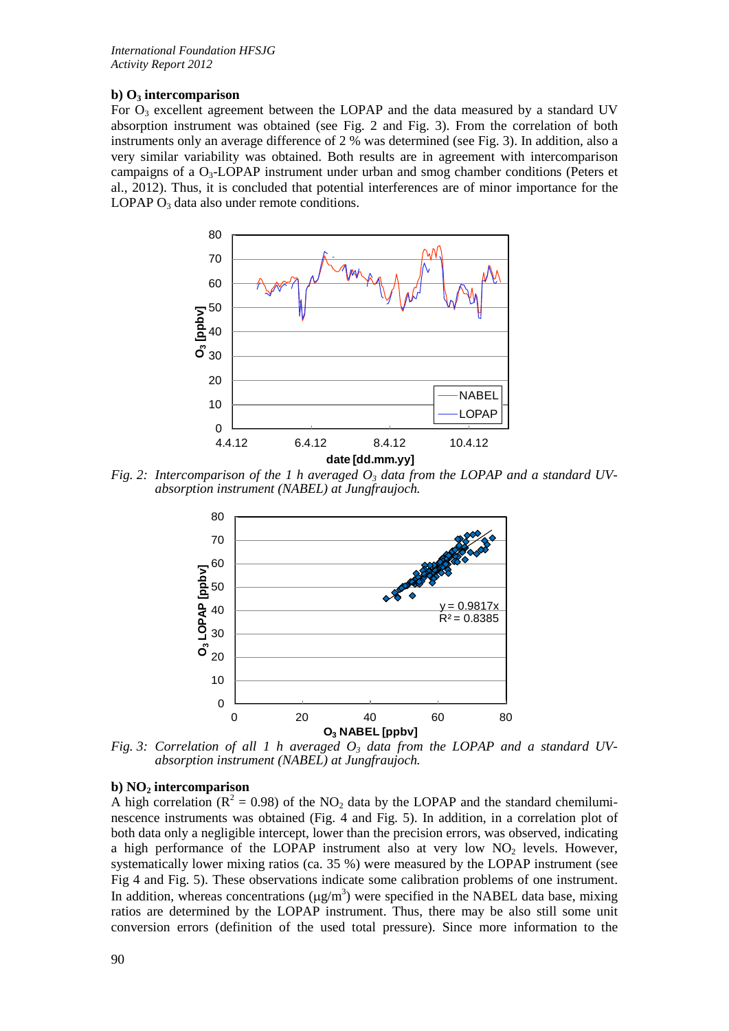## **b) O3 intercomparison**

For  $O_3$  excellent agreement between the LOPAP and the data measured by a standard UV absorption instrument was obtained (see Fig. 2 and Fig. 3). From the correlation of both instruments only an average difference of 2 % was determined (see Fig. 3). In addition, also a very similar variability was obtained. Both results are in agreement with intercomparison campaigns of a  $O_3$ -LOPAP instrument under urban and smog chamber conditions (Peters et al., 2012). Thus, it is concluded that potential interferences are of minor importance for the LOPAP  $O_3$  data also under remote conditions.



*Fig. 2: Intercomparison of the 1 h averaged*  $O<sub>3</sub>$  *data from the LOPAP and a standard UVabsorption instrument (NABEL) at Jungfraujoch.*



*Fig. 3: Correlation of all 1 h averaged O3 data from the LOPAP and a standard UV- absorption instrument (NABEL) at Jungfraujoch.*

## **b) NO2 intercomparison**

A high correlation ( $R^2 = 0.98$ ) of the NO<sub>2</sub> data by the LOPAP and the standard chemiluminescence instruments was obtained (Fig. 4 and Fig. 5). In addition, in a correlation plot of both data only a negligible intercept, lower than the precision errors, was observed, indicating a high performance of the LOPAP instrument also at very low  $NO<sub>2</sub>$  levels. However, systematically lower mixing ratios (ca. 35 %) were measured by the LOPAP instrument (see Fig 4 and Fig. 5). These observations indicate some calibration problems of one instrument. In addition, whereas concentrations  $(\mu g/m^3)$  were specified in the NABEL data base, mixing ratios are determined by the LOPAP instrument. Thus, there may be also still some unit conversion errors (definition of the used total pressure). Since more information to the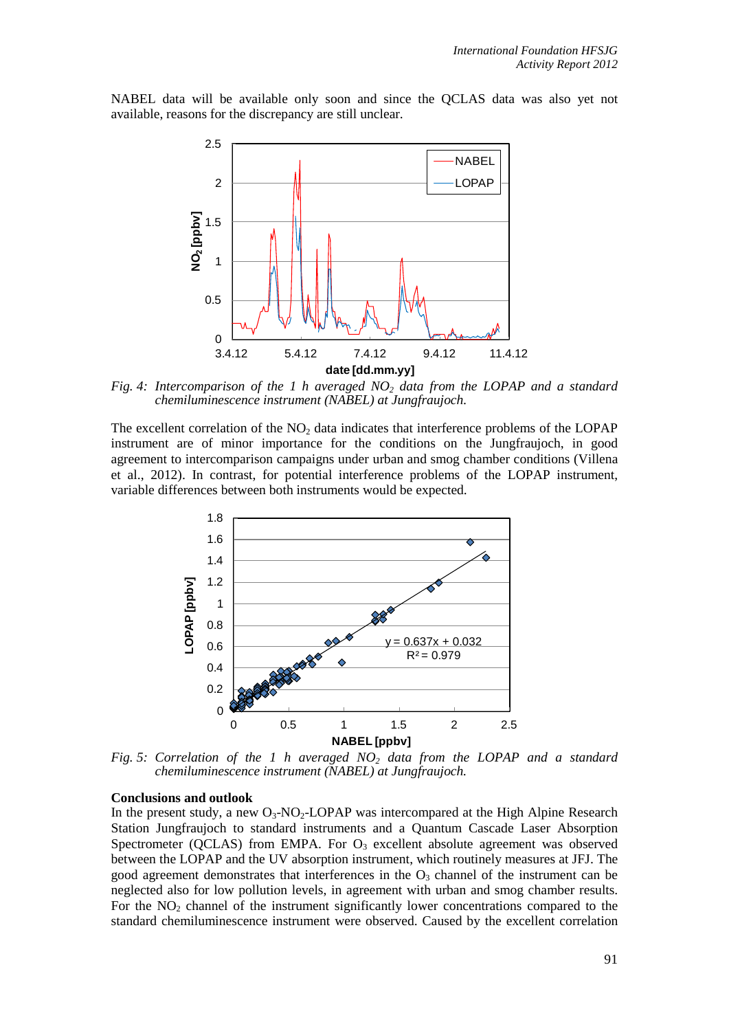NABEL data will be available only soon and since the QCLAS data was also yet not available, reasons for the discrepancy are still unclear.



*Fig. 4: Intercomparison of the 1 h averaged NO2 data from the LOPAP and a standard chemiluminescence instrument (NABEL) at Jungfraujoch.*

The excellent correlation of the  $NO<sub>2</sub>$  data indicates that interference problems of the LOPAP instrument are of minor importance for the conditions on the Jungfraujoch, in good agreement to intercomparison campaigns under urban and smog chamber conditions (Villena et al., 2012). In contrast, for potential interference problems of the LOPAP instrument, variable differences between both instruments would be expected. 



*Fig. 5: Correlation of the 1 h averaged NO2 data from the LOPAP and a standard chemiluminescence instrument (NABEL) at Jungfraujoch.*

#### **Conclusions and outlook**

In the present study, a new  $O_3$ -NO<sub>2</sub>-LOPAP was intercompared at the High Alpine Research Station Jungfraujoch to standard instruments and a Quantum Cascade Laser Absorption Spectrometer (QCLAS) from EMPA. For  $O_3$  excellent absolute agreement was observed between the LOPAP and the UV absorption instrument, which routinely measures at JFJ. The good agreement demonstrates that interferences in the  $O<sub>3</sub>$  channel of the instrument can be neglected also for low pollution levels, in agreement with urban and smog chamber results. For the  $NO<sub>2</sub>$  channel of the instrument significantly lower concentrations compared to the standard chemiluminescence instrument were observed. Caused by the excellent correlation